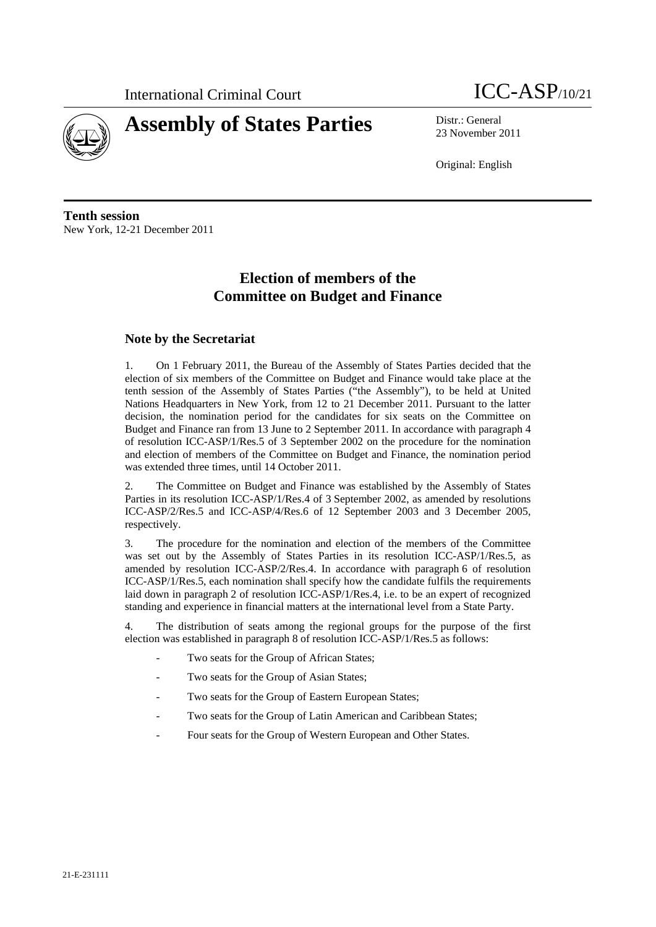



23 November 2011

Original: English

**Tenth session**  New York, 12-21 December 2011

# **Election of members of the Committee on Budget and Finance**

# **Note by the Secretariat**

1. On 1 February 2011, the Bureau of the Assembly of States Parties decided that the election of six members of the Committee on Budget and Finance would take place at the tenth session of the Assembly of States Parties ("the Assembly"), to be held at United Nations Headquarters in New York, from 12 to 21 December 2011. Pursuant to the latter decision, the nomination period for the candidates for six seats on the Committee on Budget and Finance ran from 13 June to 2 September 2011. In accordance with paragraph 4 of resolution ICC-ASP/1/Res.5 of 3 September 2002 on the procedure for the nomination and election of members of the Committee on Budget and Finance, the nomination period was extended three times, until 14 October 2011.

2. The Committee on Budget and Finance was established by the Assembly of States Parties in its resolution ICC-ASP/1/Res.4 of 3 September 2002, as amended by resolutions ICC-ASP/2/Res.5 and ICC-ASP/4/Res.6 of 12 September 2003 and 3 December 2005, respectively.

3. The procedure for the nomination and election of the members of the Committee was set out by the Assembly of States Parties in its resolution ICC-ASP/1/Res.5, as amended by resolution ICC-ASP/2/Res.4. In accordance with paragraph 6 of resolution ICC-ASP/1/Res.5, each nomination shall specify how the candidate fulfils the requirements laid down in paragraph 2 of resolution ICC-ASP/1/Res.4, i.e. to be an expert of recognized standing and experience in financial matters at the international level from a State Party.

4. The distribution of seats among the regional groups for the purpose of the first election was established in paragraph 8 of resolution ICC-ASP/1/Res.5 as follows:

- Two seats for the Group of African States;
- Two seats for the Group of Asian States;
- Two seats for the Group of Eastern European States;
- Two seats for the Group of Latin American and Caribbean States;
- Four seats for the Group of Western European and Other States.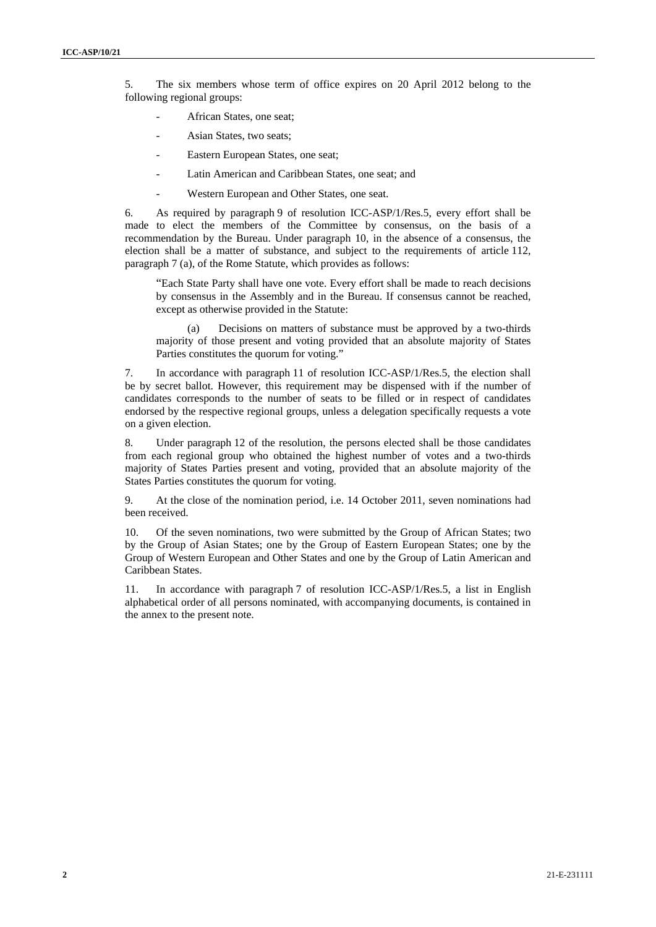5. The six members whose term of office expires on 20 April 2012 belong to the following regional groups:

- African States, one seat:
- Asian States, two seats;
- Eastern European States, one seat;
- Latin American and Caribbean States, one seat; and
- Western European and Other States, one seat.

6. As required by paragraph 9 of resolution ICC-ASP/1/Res.5, every effort shall be made to elect the members of the Committee by consensus, on the basis of a recommendation by the Bureau. Under paragraph 10, in the absence of a consensus, the election shall be a matter of substance, and subject to the requirements of article 112, paragraph 7 (a), of the Rome Statute, which provides as follows:

"Each State Party shall have one vote. Every effort shall be made to reach decisions by consensus in the Assembly and in the Bureau. If consensus cannot be reached, except as otherwise provided in the Statute:

(a) Decisions on matters of substance must be approved by a two-thirds majority of those present and voting provided that an absolute majority of States Parties constitutes the quorum for voting."

7. In accordance with paragraph 11 of resolution ICC-ASP/1/Res.5, the election shall be by secret ballot. However, this requirement may be dispensed with if the number of candidates corresponds to the number of seats to be filled or in respect of candidates endorsed by the respective regional groups, unless a delegation specifically requests a vote on a given election.

8. Under paragraph 12 of the resolution, the persons elected shall be those candidates from each regional group who obtained the highest number of votes and a two-thirds majority of States Parties present and voting, provided that an absolute majority of the States Parties constitutes the quorum for voting.

9. At the close of the nomination period, i.e. 14 October 2011, seven nominations had been received.

10. Of the seven nominations, two were submitted by the Group of African States; two by the Group of Asian States; one by the Group of Eastern European States; one by the Group of Western European and Other States and one by the Group of Latin American and Caribbean States.

11. In accordance with paragraph 7 of resolution ICC-ASP/1/Res.5, a list in English alphabetical order of all persons nominated, with accompanying documents, is contained in the annex to the present note.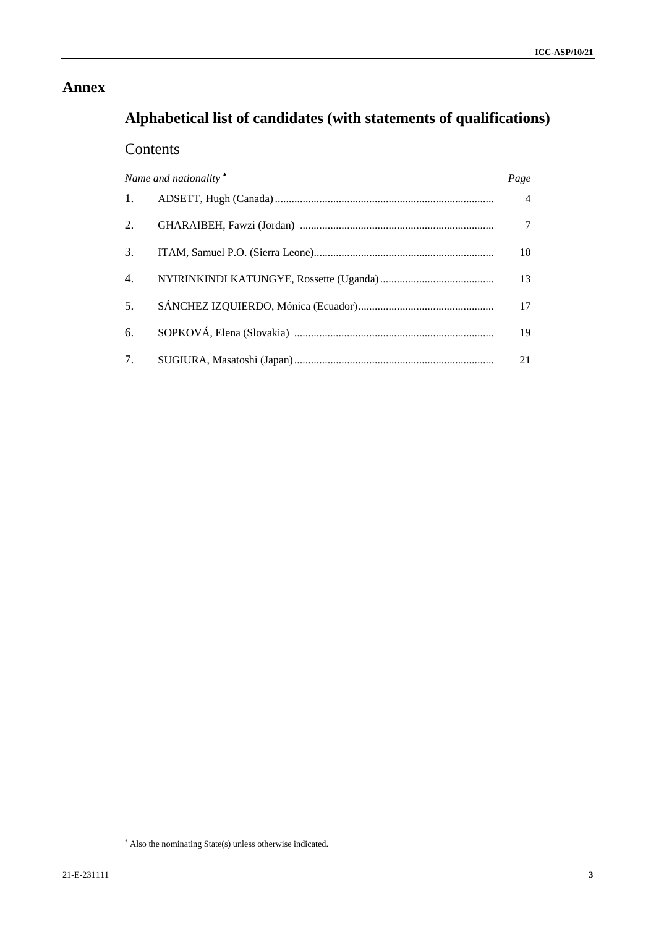# **Annex**

# **Alphabetical list of candidates (with statements of qualifications)**

# Contents

| Name and nationality <sup>*</sup> |  | Page           |
|-----------------------------------|--|----------------|
| 1.                                |  | $\overline{4}$ |
| 2.                                |  |                |
| 3.                                |  | 10             |
| 4.                                |  | 13             |
| 5.                                |  | 17             |
| 6.                                |  | 19             |
| 7.                                |  | 21             |

<sup>\*</sup> Also the nominating State(s) unless otherwise indicated.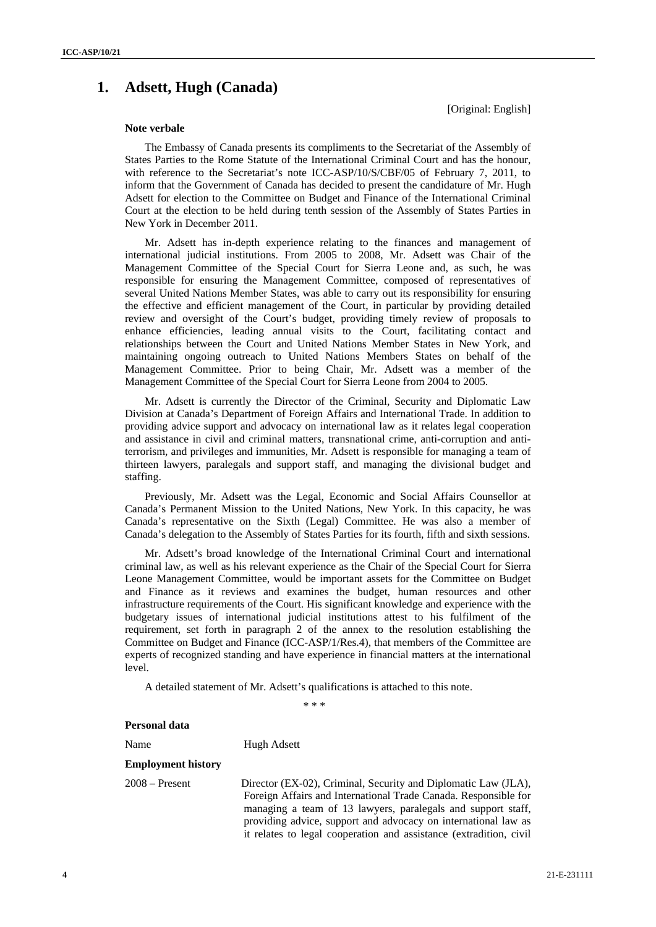# **1. Adsett, Hugh (Canada)**

[Original: English]

### **Note verbale**

The Embassy of Canada presents its compliments to the Secretariat of the Assembly of States Parties to the Rome Statute of the International Criminal Court and has the honour, with reference to the Secretariat's note ICC-ASP/10/S/CBF/05 of February 7, 2011, to inform that the Government of Canada has decided to present the candidature of Mr. Hugh Adsett for election to the Committee on Budget and Finance of the International Criminal Court at the election to be held during tenth session of the Assembly of States Parties in New York in December 2011.

Mr. Adsett has in-depth experience relating to the finances and management of international judicial institutions. From 2005 to 2008, Mr. Adsett was Chair of the Management Committee of the Special Court for Sierra Leone and, as such, he was responsible for ensuring the Management Committee, composed of representatives of several United Nations Member States, was able to carry out its responsibility for ensuring the effective and efficient management of the Court, in particular by providing detailed review and oversight of the Court's budget, providing timely review of proposals to enhance efficiencies, leading annual visits to the Court, facilitating contact and relationships between the Court and United Nations Member States in New York, and maintaining ongoing outreach to United Nations Members States on behalf of the Management Committee. Prior to being Chair, Mr. Adsett was a member of the Management Committee of the Special Court for Sierra Leone from 2004 to 2005.

Mr. Adsett is currently the Director of the Criminal, Security and Diplomatic Law Division at Canada's Department of Foreign Affairs and International Trade. In addition to providing advice support and advocacy on international law as it relates legal cooperation and assistance in civil and criminal matters, transnational crime, anti-corruption and antiterrorism, and privileges and immunities, Mr. Adsett is responsible for managing a team of thirteen lawyers, paralegals and support staff, and managing the divisional budget and staffing.

Previously, Mr. Adsett was the Legal, Economic and Social Affairs Counsellor at Canada's Permanent Mission to the United Nations, New York. In this capacity, he was Canada's representative on the Sixth (Legal) Committee. He was also a member of Canada's delegation to the Assembly of States Parties for its fourth, fifth and sixth sessions.

Mr. Adsett's broad knowledge of the International Criminal Court and international criminal law, as well as his relevant experience as the Chair of the Special Court for Sierra Leone Management Committee, would be important assets for the Committee on Budget and Finance as it reviews and examines the budget, human resources and other infrastructure requirements of the Court. His significant knowledge and experience with the budgetary issues of international judicial institutions attest to his fulfilment of the requirement, set forth in paragraph 2 of the annex to the resolution establishing the Committee on Budget and Finance (ICC-ASP/1/Res.4), that members of the Committee are experts of recognized standing and have experience in financial matters at the international level.

A detailed statement of Mr. Adsett's qualifications is attached to this note.

 $* * *$ 

## **Personal data**

Name Hugh Adsett

#### **Employment history**

2008 – Present Director (EX-02), Criminal, Security and Diplomatic Law (JLA), Foreign Affairs and International Trade Canada. Responsible for managing a team of 13 lawyers, paralegals and support staff, providing advice, support and advocacy on international law as it relates to legal cooperation and assistance (extradition, civil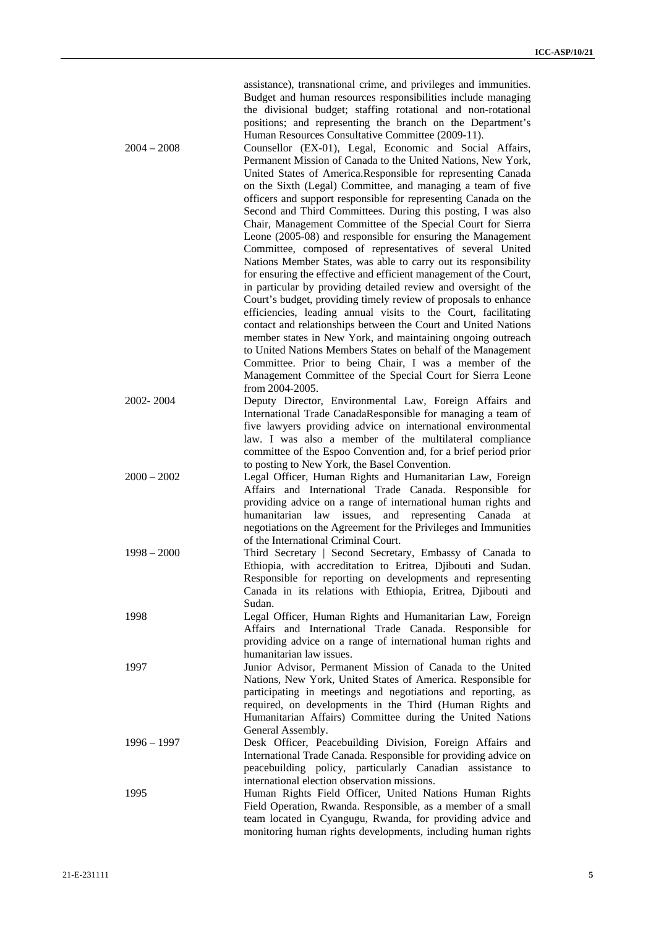assistance), transnational crime, and privileges and immunities. Budget and human resources responsibilities include managing the divisional budget; staffing rotational and non-rotational positions; and representing the branch on the Department's Human Resources Consultative Committee (2009-11).

2004 – 2008 Counsellor (EX-01), Legal, Economic and Social Affairs, Permanent Mission of Canada to the United Nations, New York, United States of America.Responsible for representing Canada on the Sixth (Legal) Committee, and managing a team of five officers and support responsible for representing Canada on the Second and Third Committees. During this posting, I was also Chair, Management Committee of the Special Court for Sierra Leone (2005-08) and responsible for ensuring the Management Committee, composed of representatives of several United Nations Member States, was able to carry out its responsibility for ensuring the effective and efficient management of the Court, in particular by providing detailed review and oversight of the Court's budget, providing timely review of proposals to enhance efficiencies, leading annual visits to the Court, facilitating contact and relationships between the Court and United Nations member states in New York, and maintaining ongoing outreach to United Nations Members States on behalf of the Management Committee. Prior to being Chair, I was a member of the Management Committee of the Special Court for Sierra Leone from 2004-2005. 2002- 2004 Deputy Director, Environmental Law, Foreign Affairs and International Trade CanadaResponsible for managing a team of five lawyers providing advice on international environmental law. I was also a member of the multilateral compliance committee of the Espoo Convention and, for a brief period prior to posting to New York, the Basel Convention.

- 2000 2002 Legal Officer, Human Rights and Humanitarian Law, Foreign Affairs and International Trade Canada. Responsible for providing advice on a range of international human rights and humanitarian law issues, and representing Canada at negotiations on the Agreement for the Privileges and Immunities of the International Criminal Court.
- 1998 2000 Third Secretary | Second Secretary, Embassy of Canada to Ethiopia, with accreditation to Eritrea, Djibouti and Sudan. Responsible for reporting on developments and representing Canada in its relations with Ethiopia, Eritrea, Djibouti and Sudan.
- 1998 Legal Officer, Human Rights and Humanitarian Law, Foreign Affairs and International Trade Canada. Responsible for providing advice on a range of international human rights and humanitarian law issues.
- 1997 Junior Advisor, Permanent Mission of Canada to the United Nations, New York, United States of America. Responsible for participating in meetings and negotiations and reporting, as required, on developments in the Third (Human Rights and Humanitarian Affairs) Committee during the United Nations General Assembly.
- 1996 1997 Desk Officer, Peacebuilding Division, Foreign Affairs and International Trade Canada. Responsible for providing advice on peacebuilding policy, particularly Canadian assistance to international election observation missions.
- 1995 Human Rights Field Officer, United Nations Human Rights Field Operation, Rwanda. Responsible, as a member of a small team located in Cyangugu, Rwanda, for providing advice and monitoring human rights developments, including human rights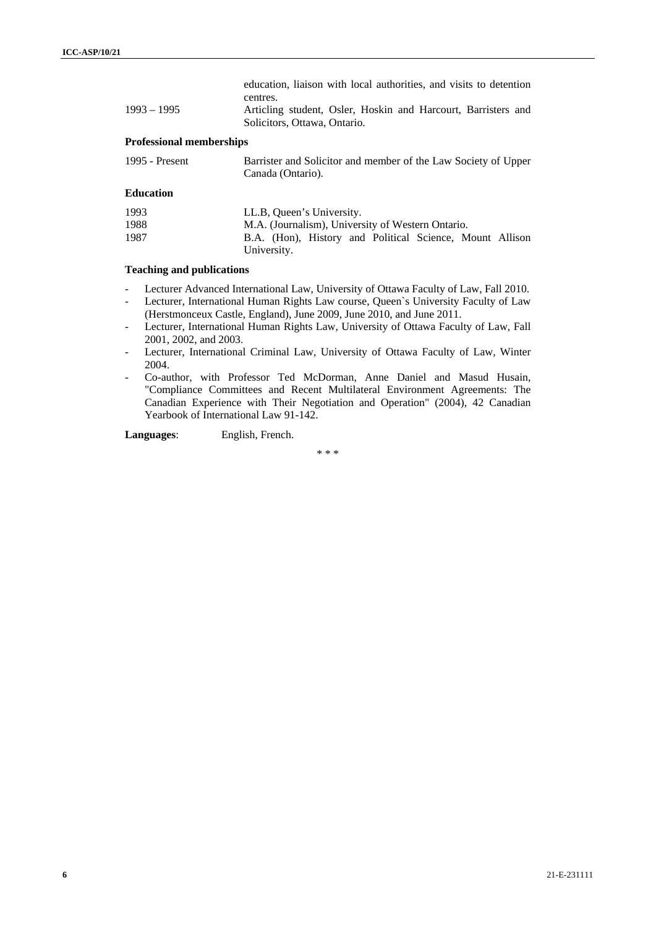| $1993 - 1995$                   | education, liaison with local authorities, and visits to detention<br>centres.<br>Articling student, Osler, Hoskin and Harcourt, Barristers and<br>Solicitors, Ottawa, Ontario. |
|---------------------------------|---------------------------------------------------------------------------------------------------------------------------------------------------------------------------------|
| <b>Professional memberships</b> |                                                                                                                                                                                 |
| 1995 - Present                  | Barrister and Solicitor and member of the Law Society of Upper<br>Canada (Ontario).                                                                                             |
| <b>Education</b>                |                                                                                                                                                                                 |
| 1993                            | LL.B, Queen's University.                                                                                                                                                       |
| 1988                            | M.A. (Journalism), University of Western Ontario.                                                                                                                               |

# **Teaching and publications**

- Lecturer Advanced International Law, University of Ottawa Faculty of Law, Fall 2010.

1987 B.A. (Hon), History and Political Science, Mount Allison

University.

- Lecturer, International Human Rights Law course, Queen`s University Faculty of Law (Herstmonceux Castle, England), June 2009, June 2010, and June 2011.
- Lecturer, International Human Rights Law, University of Ottawa Faculty of Law, Fall 2001, 2002, and 2003.
- Lecturer, International Criminal Law, University of Ottawa Faculty of Law, Winter 2004.
- Co-author, with Professor Ted McDorman, Anne Daniel and Masud Husain, "Compliance Committees and Recent Multilateral Environment Agreements: The Canadian Experience with Their Negotiation and Operation" (2004), 42 Canadian Yearbook of International Law 91-142.

**Languages**: English, French.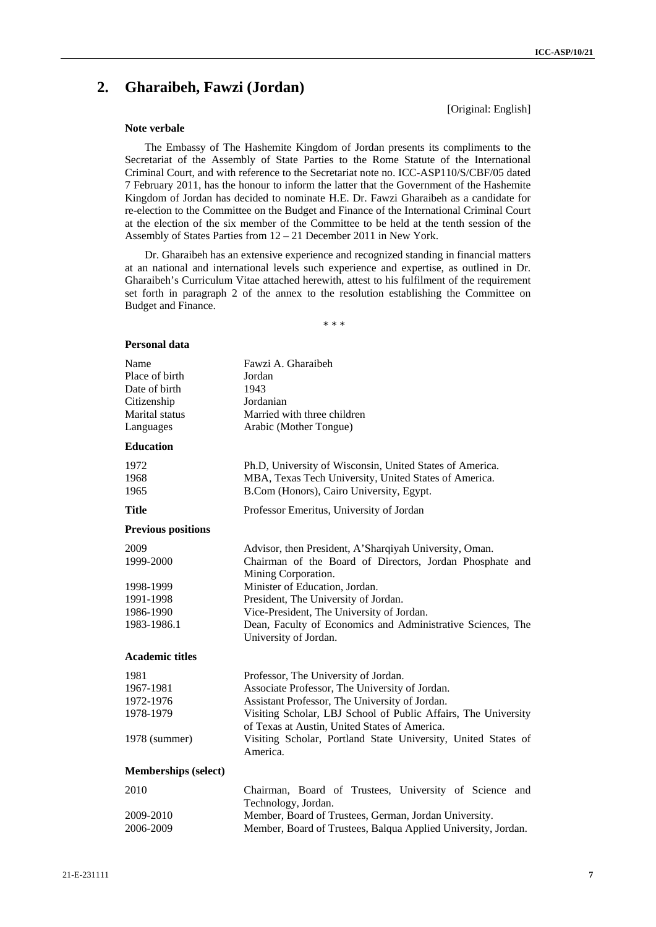# **2. Gharaibeh, Fawzi (Jordan)**

[Original: English]

## **Note verbale**

The Embassy of The Hashemite Kingdom of Jordan presents its compliments to the Secretariat of the Assembly of State Parties to the Rome Statute of the International Criminal Court, and with reference to the Secretariat note no. ICC-ASP110/S/CBF/05 dated 7 February 2011, has the honour to inform the latter that the Government of the Hashemite Kingdom of Jordan has decided to nominate H.E. Dr. Fawzi Gharaibeh as a candidate for re-election to the Committee on the Budget and Finance of the International Criminal Court at the election of the six member of the Committee to be held at the tenth session of the Assembly of States Parties from 12 – 21 December 2011 in New York.

Dr. Gharaibeh has an extensive experience and recognized standing in financial matters at an national and international levels such experience and expertise, as outlined in Dr. Gharaibeh's Curriculum Vitae attached herewith, attest to his fulfilment of the requirement set forth in paragraph 2 of the annex to the resolution establishing the Committee on Budget and Finance.

| Personal data               |                                                                                                                 |
|-----------------------------|-----------------------------------------------------------------------------------------------------------------|
| Name<br>Place of birth      | Fawzi A. Gharaibeh<br>Jordan                                                                                    |
| Date of birth               | 1943                                                                                                            |
| Citizenship                 | Jordanian                                                                                                       |
| Marital status              | Married with three children                                                                                     |
| Languages                   | Arabic (Mother Tongue)                                                                                          |
| <b>Education</b>            |                                                                                                                 |
| 1972                        | Ph.D, University of Wisconsin, United States of America.                                                        |
| 1968                        | MBA, Texas Tech University, United States of America.                                                           |
| 1965                        | B.Com (Honors), Cairo University, Egypt.                                                                        |
| <b>Title</b>                | Professor Emeritus, University of Jordan                                                                        |
| <b>Previous positions</b>   |                                                                                                                 |
| 2009                        | Advisor, then President, A'Sharqiyah University, Oman.                                                          |
| 1999-2000                   | Chairman of the Board of Directors, Jordan Phosphate and                                                        |
|                             | Mining Corporation.                                                                                             |
| 1998-1999                   | Minister of Education, Jordan.                                                                                  |
| 1991-1998                   | President, The University of Jordan.                                                                            |
| 1986-1990                   | Vice-President, The University of Jordan.                                                                       |
| 1983-1986.1                 | Dean, Faculty of Economics and Administrative Sciences, The<br>University of Jordan.                            |
| <b>Academic titles</b>      |                                                                                                                 |
| 1981                        | Professor, The University of Jordan.                                                                            |
| 1967-1981                   | Associate Professor, The University of Jordan.                                                                  |
| 1972-1976                   | Assistant Professor, The University of Jordan.                                                                  |
| 1978-1979                   | Visiting Scholar, LBJ School of Public Affairs, The University<br>of Texas at Austin, United States of America. |
| 1978 (summer)               | Visiting Scholar, Portland State University, United States of<br>America.                                       |
| <b>Memberships</b> (select) |                                                                                                                 |
| 2010                        | Chairman, Board of Trustees, University of Science and                                                          |
| 2009-2010                   | Technology, Jordan.<br>Member, Board of Trustees, German, Jordan University.                                    |
| 2006-2009                   | Member, Board of Trustees, Balqua Applied University, Jordan.                                                   |
|                             |                                                                                                                 |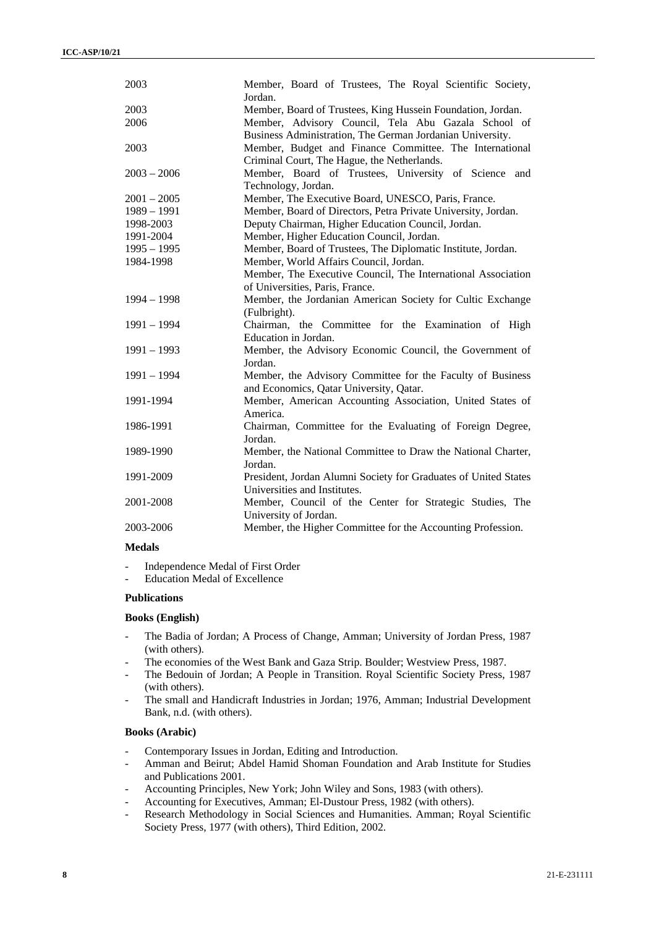| 2003          | Member, Board of Trustees, The Royal Scientific Society,<br>Jordan.                                              |
|---------------|------------------------------------------------------------------------------------------------------------------|
| 2003          | Member, Board of Trustees, King Hussein Foundation, Jordan.                                                      |
| 2006          | Member, Advisory Council, Tela Abu Gazala School of<br>Business Administration, The German Jordanian University. |
| 2003          | Member, Budget and Finance Committee. The International<br>Criminal Court, The Hague, the Netherlands.           |
| $2003 - 2006$ | Member, Board of Trustees, University of Science and<br>Technology, Jordan.                                      |
| $2001 - 2005$ | Member, The Executive Board, UNESCO, Paris, France.                                                              |
| $1989 - 1991$ | Member, Board of Directors, Petra Private University, Jordan.                                                    |
| 1998-2003     | Deputy Chairman, Higher Education Council, Jordan.                                                               |
| 1991-2004     | Member, Higher Education Council, Jordan.                                                                        |
| $1995 - 1995$ | Member, Board of Trustees, The Diplomatic Institute, Jordan.                                                     |
| 1984-1998     | Member, World Affairs Council, Jordan.                                                                           |
|               | Member, The Executive Council, The International Association                                                     |
|               | of Universities, Paris, France.                                                                                  |
| $1994 - 1998$ | Member, the Jordanian American Society for Cultic Exchange<br>(Fulbright).                                       |
| $1991 - 1994$ | Chairman, the Committee for the Examination of High<br>Education in Jordan.                                      |
| $1991 - 1993$ | Member, the Advisory Economic Council, the Government of<br>Jordan.                                              |
| $1991 - 1994$ | Member, the Advisory Committee for the Faculty of Business<br>and Economics, Qatar University, Qatar.            |
| 1991-1994     | Member, American Accounting Association, United States of<br>America.                                            |
| 1986-1991     | Chairman, Committee for the Evaluating of Foreign Degree,<br>Jordan.                                             |
| 1989-1990     | Member, the National Committee to Draw the National Charter,<br>Jordan.                                          |
| 1991-2009     | President, Jordan Alumni Society for Graduates of United States<br>Universities and Institutes.                  |
| 2001-2008     | Member, Council of the Center for Strategic Studies, The<br>University of Jordan.                                |
| 2003-2006     | Member, the Higher Committee for the Accounting Profession.                                                      |

# **Medals**

Independence Medal of First Order

Education Medal of Excellence

# **Publications**

#### **Books (English)**

- The Badia of Jordan; A Process of Change, Amman; University of Jordan Press, 1987 (with others).
- The economies of the West Bank and Gaza Strip. Boulder; Westview Press, 1987.
- The Bedouin of Jordan; A People in Transition. Royal Scientific Society Press, 1987 (with others).
- The small and Handicraft Industries in Jordan; 1976, Amman; Industrial Development Bank, n.d. (with others).

# **Books (Arabic)**

- Contemporary Issues in Jordan, Editing and Introduction.
- Amman and Beirut; Abdel Hamid Shoman Foundation and Arab Institute for Studies and Publications 2001.
- Accounting Principles, New York; John Wiley and Sons, 1983 (with others).
- Accounting for Executives, Amman; El-Dustour Press, 1982 (with others).
- Research Methodology in Social Sciences and Humanities. Amman; Royal Scientific Society Press, 1977 (with others), Third Edition, 2002.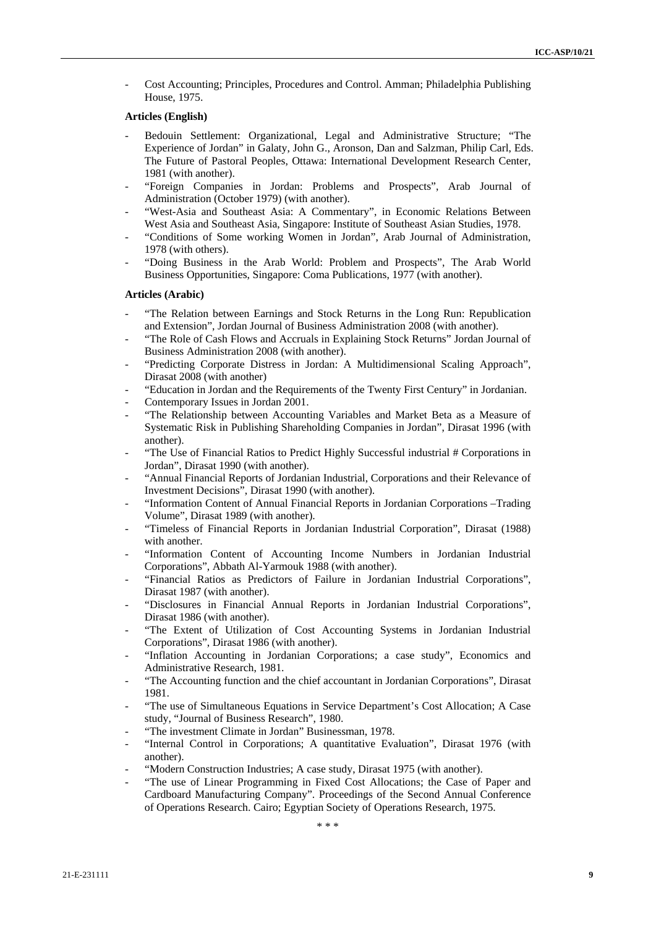- Cost Accounting; Principles, Procedures and Control. Amman; Philadelphia Publishing House, 1975.

### **Articles (English)**

- Bedouin Settlement: Organizational, Legal and Administrative Structure; "The Experience of Jordan" in Galaty, John G., Aronson, Dan and Salzman, Philip Carl, Eds. The Future of Pastoral Peoples, Ottawa: International Development Research Center, 1981 (with another).
- "Foreign Companies in Jordan: Problems and Prospects", Arab Journal of Administration (October 1979) (with another).
- "West-Asia and Southeast Asia: A Commentary", in Economic Relations Between West Asia and Southeast Asia, Singapore: Institute of Southeast Asian Studies, 1978.
- "Conditions of Some working Women in Jordan", Arab Journal of Administration, 1978 (with others).
- "Doing Business in the Arab World: Problem and Prospects", The Arab World Business Opportunities, Singapore: Coma Publications, 1977 (with another).

### **Articles (Arabic)**

- "The Relation between Earnings and Stock Returns in the Long Run: Republication and Extension", Jordan Journal of Business Administration 2008 (with another).
- "The Role of Cash Flows and Accruals in Explaining Stock Returns" Jordan Journal of Business Administration 2008 (with another).
- "Predicting Corporate Distress in Jordan: A Multidimensional Scaling Approach", Dirasat 2008 (with another)
- "Education in Jordan and the Requirements of the Twenty First Century" in Jordanian.
- Contemporary Issues in Jordan 2001.
- "The Relationship between Accounting Variables and Market Beta as a Measure of Systematic Risk in Publishing Shareholding Companies in Jordan", Dirasat 1996 (with another).
- "The Use of Financial Ratios to Predict Highly Successful industrial # Corporations in Jordan", Dirasat 1990 (with another).
- "Annual Financial Reports of Jordanian Industrial, Corporations and their Relevance of Investment Decisions", Dirasat 1990 (with another).
- "Information Content of Annual Financial Reports in Jordanian Corporations –Trading Volume", Dirasat 1989 (with another).
- "Timeless of Financial Reports in Jordanian Industrial Corporation", Dirasat (1988) with another.
- "Information Content of Accounting Income Numbers in Jordanian Industrial Corporations", Abbath Al-Yarmouk 1988 (with another).
- "Financial Ratios as Predictors of Failure in Jordanian Industrial Corporations", Dirasat 1987 (with another).
- "Disclosures in Financial Annual Reports in Jordanian Industrial Corporations", Dirasat 1986 (with another).
- "The Extent of Utilization of Cost Accounting Systems in Jordanian Industrial Corporations", Dirasat 1986 (with another).
- "Inflation Accounting in Jordanian Corporations; a case study", Economics and Administrative Research, 1981.
- "The Accounting function and the chief accountant in Jordanian Corporations", Dirasat 1981.
- "The use of Simultaneous Equations in Service Department's Cost Allocation; A Case study, "Journal of Business Research", 1980.
- "The investment Climate in Jordan" Businessman, 1978.
- "Internal Control in Corporations; A quantitative Evaluation", Dirasat 1976 (with another).
- "Modern Construction Industries: A case study, Dirasat 1975 (with another).
- "The use of Linear Programming in Fixed Cost Allocations; the Case of Paper and Cardboard Manufacturing Company". Proceedings of the Second Annual Conference of Operations Research. Cairo; Egyptian Society of Operations Research, 1975.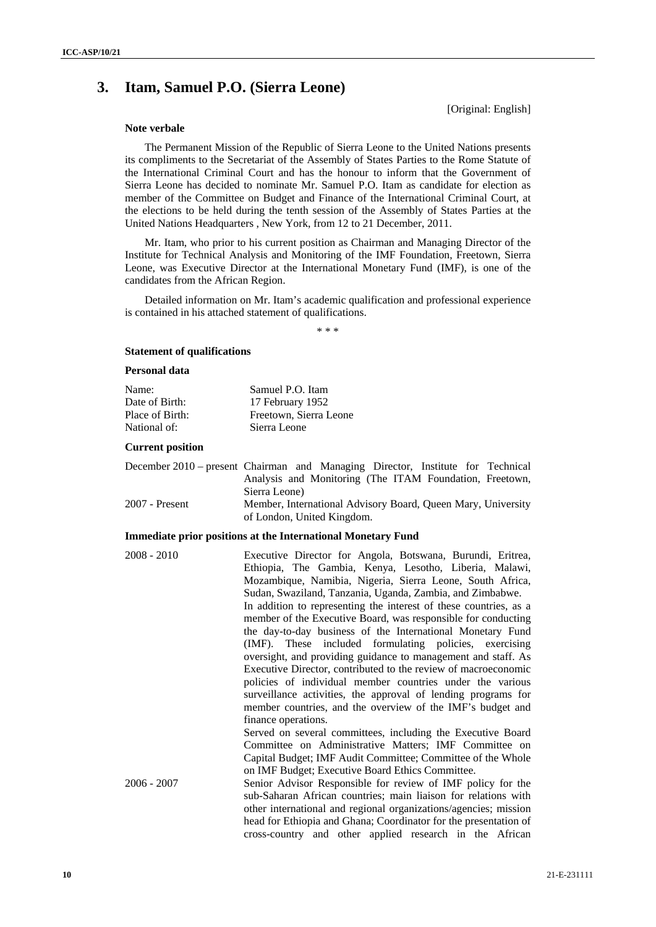# **3. Itam, Samuel P.O. (Sierra Leone)**

[Original: English]

# **Note verbale**

The Permanent Mission of the Republic of Sierra Leone to the United Nations presents its compliments to the Secretariat of the Assembly of States Parties to the Rome Statute of the International Criminal Court and has the honour to inform that the Government of Sierra Leone has decided to nominate Mr. Samuel P.O. Itam as candidate for election as member of the Committee on Budget and Finance of the International Criminal Court, at the elections to be held during the tenth session of the Assembly of States Parties at the United Nations Headquarters , New York, from 12 to 21 December, 2011.

Mr. Itam, who prior to his current position as Chairman and Managing Director of the Institute for Technical Analysis and Monitoring of the IMF Foundation, Freetown, Sierra Leone, was Executive Director at the International Monetary Fund (IMF), is one of the candidates from the African Region.

Detailed information on Mr. Itam's academic qualification and professional experience is contained in his attached statement of qualifications.

\* \* \*

#### **Statement of qualifications**

# **Personal data**

| Name:           | Samuel P.O. Itam       |
|-----------------|------------------------|
| Date of Birth:  | 17 February 1952       |
| Place of Birth: | Freetown, Sierra Leone |
| National of:    | Sierra Leone           |

#### **Current position**

|                | December 2010 – present Chairman and Managing Director, Institute for Technical |
|----------------|---------------------------------------------------------------------------------|
|                | Analysis and Monitoring (The ITAM Foundation, Freetown,                         |
|                | Sierra Leone)                                                                   |
| 2007 - Present | Member, International Advisory Board, Queen Mary, University                    |
|                | of London, United Kingdom.                                                      |

### **Immediate prior positions at the International Monetary Fund**

| $2008 - 2010$ | Executive Director for Angola, Botswana, Burundi, Eritrea,        |
|---------------|-------------------------------------------------------------------|
|               | Ethiopia, The Gambia, Kenya, Lesotho, Liberia, Malawi,            |
|               | Mozambique, Namibia, Nigeria, Sierra Leone, South Africa,         |
|               | Sudan, Swaziland, Tanzania, Uganda, Zambia, and Zimbabwe.         |
|               | In addition to representing the interest of these countries, as a |
|               | member of the Executive Board, was responsible for conducting     |
|               | the day-to-day business of the International Monetary Fund        |
|               | (IMF). These included formulating policies, exercising            |
|               | oversight, and providing guidance to management and staff. As     |
|               | Executive Director, contributed to the review of macroeconomic    |
|               | policies of individual member countries under the various         |
|               | surveillance activities, the approval of lending programs for     |
|               | member countries, and the overview of the IMF's budget and        |
|               | finance operations.                                               |
|               | Served on several committees, including the Executive Board       |
|               | Committee on Administrative Matters; IMF Committee on             |
|               | Capital Budget; IMF Audit Committee; Committee of the Whole       |
|               | on IMF Budget; Executive Board Ethics Committee.                  |
| $2006 - 2007$ | Senior Advisor Responsible for review of IMF policy for the       |
|               | sub-Saharan African countries; main liaison for relations with    |
|               | other international and regional organizations/agencies; mission  |
|               | head for Ethiopia and Ghana; Coordinator for the presentation of  |
|               | cross-country and other applied research in the African           |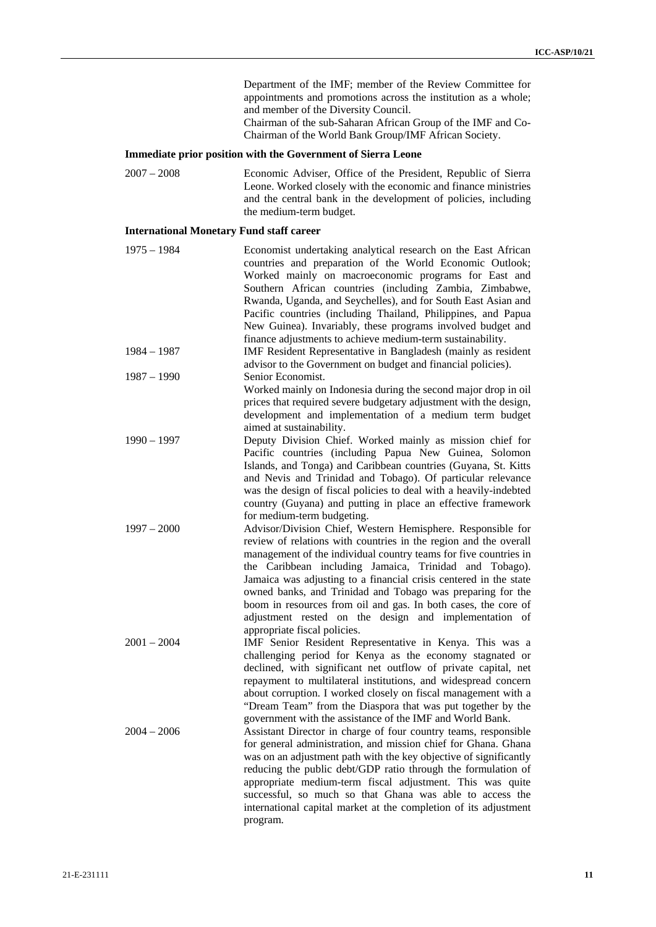Department of the IMF; member of the Review Committee for appointments and promotions across the institution as a whole; and member of the Diversity Council.

Chairman of the sub-Saharan African Group of the IMF and Co-Chairman of the World Bank Group/IMF African Society.

# **Immediate prior position with the Government of Sierra Leone**

2007 – 2008 Economic Adviser, Office of the President, Republic of Sierra Leone. Worked closely with the economic and finance ministries and the central bank in the development of policies, including the medium-term budget.

# **International Monetary Fund staff career**

| $1975 - 1984$<br>$1984 - 1987$ | Economist undertaking analytical research on the East African<br>countries and preparation of the World Economic Outlook;<br>Worked mainly on macroeconomic programs for East and<br>Southern African countries (including Zambia, Zimbabwe,<br>Rwanda, Uganda, and Seychelles), and for South East Asian and<br>Pacific countries (including Thailand, Philippines, and Papua<br>New Guinea). Invariably, these programs involved budget and<br>finance adjustments to achieve medium-term sustainability.<br>IMF Resident Representative in Bangladesh (mainly as resident |
|--------------------------------|------------------------------------------------------------------------------------------------------------------------------------------------------------------------------------------------------------------------------------------------------------------------------------------------------------------------------------------------------------------------------------------------------------------------------------------------------------------------------------------------------------------------------------------------------------------------------|
| $1987 - 1990$                  | advisor to the Government on budget and financial policies).<br>Senior Economist.<br>Worked mainly on Indonesia during the second major drop in oil<br>prices that required severe budgetary adjustment with the design,<br>development and implementation of a medium term budget<br>aimed at sustainability.                                                                                                                                                                                                                                                               |
| $1990 - 1997$                  | Deputy Division Chief. Worked mainly as mission chief for<br>Pacific countries (including Papua New Guinea, Solomon<br>Islands, and Tonga) and Caribbean countries (Guyana, St. Kitts<br>and Nevis and Trinidad and Tobago). Of particular relevance<br>was the design of fiscal policies to deal with a heavily-indebted<br>country (Guyana) and putting in place an effective framework<br>for medium-term budgeting.                                                                                                                                                      |
| $1997 - 2000$                  | Advisor/Division Chief, Western Hemisphere. Responsible for<br>review of relations with countries in the region and the overall<br>management of the individual country teams for five countries in<br>the Caribbean including Jamaica, Trinidad and Tobago).<br>Jamaica was adjusting to a financial crisis centered in the state<br>owned banks, and Trinidad and Tobago was preparing for the<br>boom in resources from oil and gas. In both cases, the core of<br>adjustment rested on the design and implementation of<br>appropriate fiscal policies.                  |
| $2001 - 2004$                  | IMF Senior Resident Representative in Kenya. This was a<br>challenging period for Kenya as the economy stagnated or<br>declined, with significant net outflow of private capital, net<br>repayment to multilateral institutions, and widespread concern<br>about corruption. I worked closely on fiscal management with a<br>"Dream Team" from the Diaspora that was put together by the<br>government with the assistance of the IMF and World Bank.                                                                                                                        |
| $2004 - 2006$                  | Assistant Director in charge of four country teams, responsible<br>for general administration, and mission chief for Ghana. Ghana<br>was on an adjustment path with the key objective of significantly<br>reducing the public debt/GDP ratio through the formulation of<br>appropriate medium-term fiscal adjustment. This was quite<br>successful, so much so that Ghana was able to access the<br>international capital market at the completion of its adjustment<br>program.                                                                                             |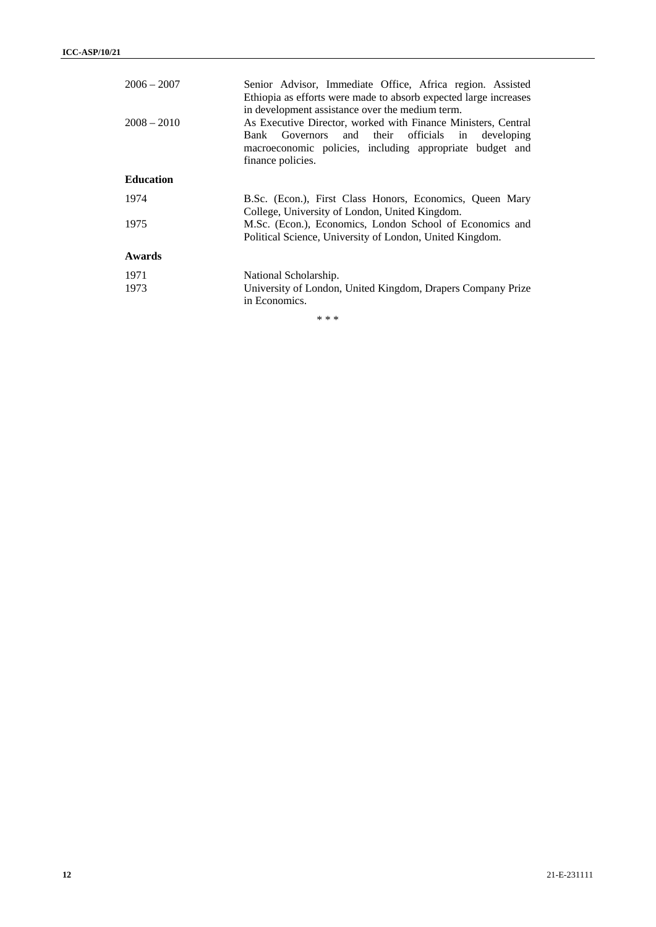| $2006 - 2007$    | Senior Advisor, Immediate Office, Africa region. Assisted<br>Ethiopia as efforts were made to absorb expected large increases<br>in development assistance over the medium term.                      |
|------------------|-------------------------------------------------------------------------------------------------------------------------------------------------------------------------------------------------------|
| $2008 - 2010$    | As Executive Director, worked with Finance Ministers, Central<br>Bank Governors and their officials in<br>developing<br>macroeconomic policies, including appropriate budget and<br>finance policies. |
| <b>Education</b> |                                                                                                                                                                                                       |
| 1974             | B.Sc. (Econ.), First Class Honors, Economics, Queen Mary<br>College, University of London, United Kingdom.                                                                                            |
| 1975             | M.Sc. (Econ.), Economics, London School of Economics and<br>Political Science, University of London, United Kingdom.                                                                                  |
| Awards           |                                                                                                                                                                                                       |
| 1971             | National Scholarship.                                                                                                                                                                                 |
| 1973             | University of London, United Kingdom, Drapers Company Prize<br>in Economics.                                                                                                                          |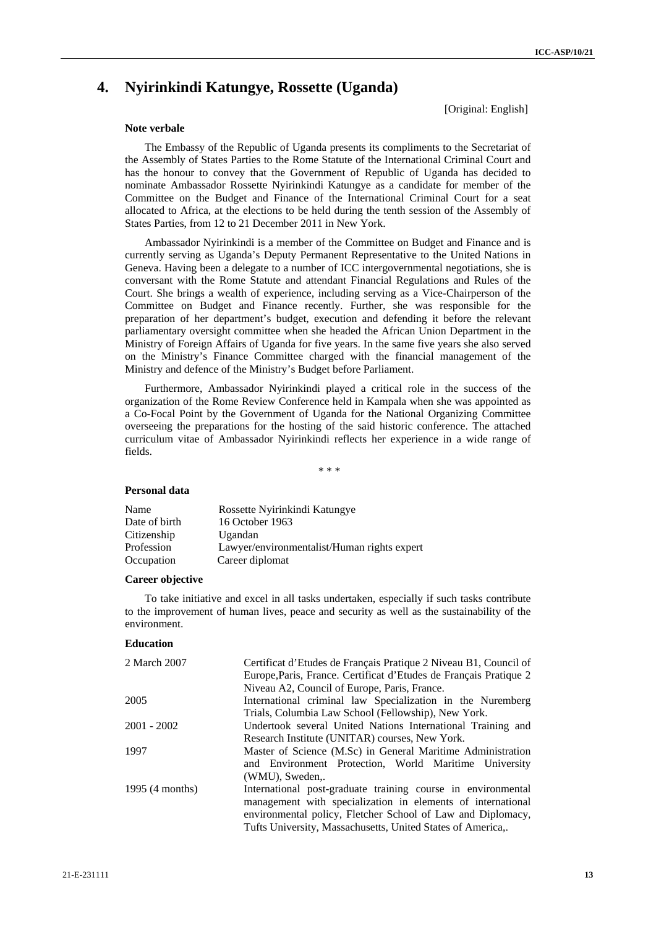# **4. Nyirinkindi Katungye, Rossette (Uganda)**

[Original: English]

#### **Note verbale**

The Embassy of the Republic of Uganda presents its compliments to the Secretariat of the Assembly of States Parties to the Rome Statute of the International Criminal Court and has the honour to convey that the Government of Republic of Uganda has decided to nominate Ambassador Rossette Nyirinkindi Katungye as a candidate for member of the Committee on the Budget and Finance of the International Criminal Court for a seat allocated to Africa, at the elections to be held during the tenth session of the Assembly of States Parties, from 12 to 21 December 2011 in New York.

Ambassador Nyirinkindi is a member of the Committee on Budget and Finance and is currently serving as Uganda's Deputy Permanent Representative to the United Nations in Geneva. Having been a delegate to a number of ICC intergovernmental negotiations, she is conversant with the Rome Statute and attendant Financial Regulations and Rules of the Court. She brings a wealth of experience, including serving as a Vice-Chairperson of the Committee on Budget and Finance recently. Further, she was responsible for the preparation of her department's budget, execution and defending it before the relevant parliamentary oversight committee when she headed the African Union Department in the Ministry of Foreign Affairs of Uganda for five years. In the same five years she also served on the Ministry's Finance Committee charged with the financial management of the Ministry and defence of the Ministry's Budget before Parliament.

Furthermore, Ambassador Nyirinkindi played a critical role in the success of the organization of the Rome Review Conference held in Kampala when she was appointed as a Co-Focal Point by the Government of Uganda for the National Organizing Committee overseeing the preparations for the hosting of the said historic conference. The attached curriculum vitae of Ambassador Nyirinkindi reflects her experience in a wide range of fields.

\* \* \*

## **Personal data**

| Name          | Rossette Nyirinkindi Katungye               |
|---------------|---------------------------------------------|
| Date of birth | 16 October 1963                             |
| Citizenship   | Ugandan                                     |
| Profession    | Lawyer/environmentalist/Human rights expert |
| Occupation    | Career diplomat                             |

# **Career objective**

To take initiative and excel in all tasks undertaken, especially if such tasks contribute to the improvement of human lives, peace and security as well as the sustainability of the environment.

# **Education**

| 2 March 2007    | Certificat d'Etudes de Français Pratique 2 Niveau B1, Council of  |
|-----------------|-------------------------------------------------------------------|
|                 | Europe, Paris, France. Certificat d'Etudes de Français Pratique 2 |
|                 | Niveau A2, Council of Europe, Paris, France.                      |
| 2005            | International criminal law Specialization in the Nuremberg        |
|                 | Trials, Columbia Law School (Fellowship), New York.               |
| $2001 - 2002$   | Undertook several United Nations International Training and       |
|                 | Research Institute (UNITAR) courses, New York.                    |
| 1997            | Master of Science (M.Sc) in General Maritime Administration       |
|                 | and Environment Protection, World Maritime University             |
|                 | (WMU), Sweden,.                                                   |
| 1995 (4 months) | International post-graduate training course in environmental      |
|                 | management with specialization in elements of international       |
|                 | environmental policy, Fletcher School of Law and Diplomacy,       |
|                 | Tufts University, Massachusetts, United States of America,.       |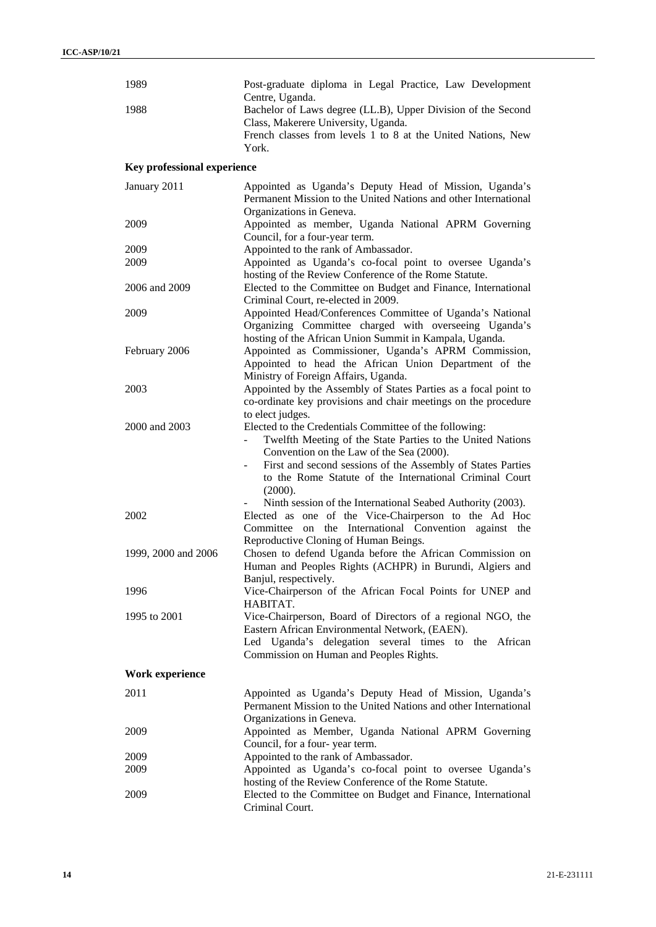| 1989                               | Post-graduate diploma in Legal Practice, Law Development<br>Centre, Uganda.                                                                                         |
|------------------------------------|---------------------------------------------------------------------------------------------------------------------------------------------------------------------|
| 1988                               | Bachelor of Laws degree (LL.B), Upper Division of the Second<br>Class, Makerere University, Uganda.<br>French classes from levels 1 to 8 at the United Nations, New |
|                                    | York.                                                                                                                                                               |
| <b>Key professional experience</b> |                                                                                                                                                                     |
| January 2011                       | Appointed as Uganda's Deputy Head of Mission, Uganda's<br>Permanent Mission to the United Nations and other International<br>Organizations in Geneva.               |
| 2009                               | Appointed as member, Uganda National APRM Governing<br>Council, for a four-year term.                                                                               |
| 2009                               | Appointed to the rank of Ambassador.                                                                                                                                |
| 2009                               | Appointed as Uganda's co-focal point to oversee Uganda's                                                                                                            |
|                                    | hosting of the Review Conference of the Rome Statute.                                                                                                               |
| 2006 and 2009                      | Elected to the Committee on Budget and Finance, International<br>Criminal Court, re-elected in 2009.                                                                |
| 2009                               | Appointed Head/Conferences Committee of Uganda's National                                                                                                           |
|                                    | Organizing Committee charged with overseeing Uganda's<br>hosting of the African Union Summit in Kampala, Uganda.                                                    |
| February 2006                      | Appointed as Commissioner, Uganda's APRM Commission,                                                                                                                |
|                                    | Appointed to head the African Union Department of the                                                                                                               |
|                                    | Ministry of Foreign Affairs, Uganda.                                                                                                                                |
| 2003                               | Appointed by the Assembly of States Parties as a focal point to                                                                                                     |
|                                    | co-ordinate key provisions and chair meetings on the procedure                                                                                                      |
|                                    | to elect judges.                                                                                                                                                    |
| 2000 and 2003                      | Elected to the Credentials Committee of the following:                                                                                                              |
|                                    | Twelfth Meeting of the State Parties to the United Nations<br>$\overline{\phantom{0}}$                                                                              |
|                                    | Convention on the Law of the Sea (2000).                                                                                                                            |
|                                    | First and second sessions of the Assembly of States Parties                                                                                                         |
|                                    | to the Rome Statute of the International Criminal Court                                                                                                             |
|                                    | (2000).                                                                                                                                                             |
|                                    | Ninth session of the International Seabed Authority (2003).                                                                                                         |
| 2002                               | Elected as one of the Vice-Chairperson to the Ad Hoc                                                                                                                |
|                                    | on the International Convention against the<br>Committee<br>Reproductive Cloning of Human Beings.                                                                   |
| 1999, 2000 and 2006                | Chosen to defend Uganda before the African Commission on                                                                                                            |
|                                    | Human and Peoples Rights (ACHPR) in Burundi, Algiers and                                                                                                            |
|                                    | Banjul, respectively.                                                                                                                                               |
| 1996                               | Vice-Chairperson of the African Focal Points for UNEP and                                                                                                           |
|                                    | HABITAT.                                                                                                                                                            |
| 1995 to 2001                       | Vice-Chairperson, Board of Directors of a regional NGO, the                                                                                                         |
|                                    | Eastern African Environmental Network, (EAEN).                                                                                                                      |
|                                    | Led Uganda's delegation several times to the African                                                                                                                |
|                                    | Commission on Human and Peoples Rights.                                                                                                                             |
| Work experience                    |                                                                                                                                                                     |
| 2011                               | Appointed as Uganda's Deputy Head of Mission, Uganda's                                                                                                              |
|                                    | Permanent Mission to the United Nations and other International                                                                                                     |
|                                    | Organizations in Geneva.                                                                                                                                            |
| 2009                               | Appointed as Member, Uganda National APRM Governing                                                                                                                 |
|                                    | Council, for a four-year term.                                                                                                                                      |
| 2009                               | Appointed to the rank of Ambassador.                                                                                                                                |
| 2009                               | Appointed as Uganda's co-focal point to oversee Uganda's                                                                                                            |
|                                    | hosting of the Review Conference of the Rome Statute.                                                                                                               |
| 2009                               | Elected to the Committee on Budget and Finance, International                                                                                                       |
|                                    | Criminal Court.                                                                                                                                                     |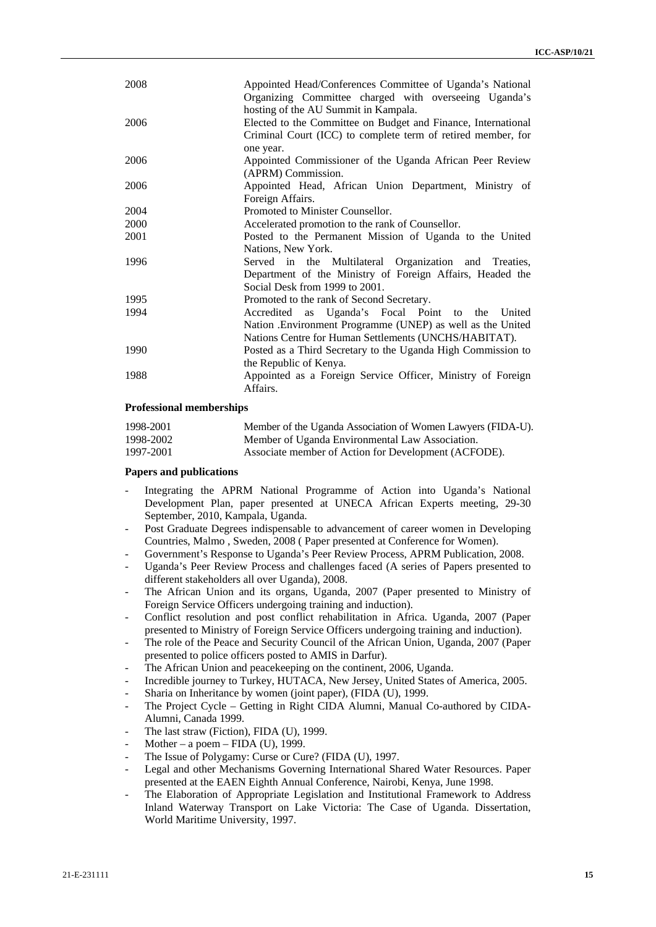| 2008 | Appointed Head/Conferences Committee of Uganda's National<br>Organizing Committee charged with overseeing Uganda's<br>hosting of the AU Summit in Kampala.               |
|------|--------------------------------------------------------------------------------------------------------------------------------------------------------------------------|
| 2006 | Elected to the Committee on Budget and Finance, International<br>Criminal Court (ICC) to complete term of retired member, for<br>one year.                               |
| 2006 | Appointed Commissioner of the Uganda African Peer Review<br>(APRM) Commission.                                                                                           |
| 2006 | Appointed Head, African Union Department, Ministry of<br>Foreign Affairs.                                                                                                |
| 2004 | Promoted to Minister Counsellor.                                                                                                                                         |
| 2000 | Accelerated promotion to the rank of Counsellor.                                                                                                                         |
| 2001 | Posted to the Permanent Mission of Uganda to the United<br>Nations, New York.                                                                                            |
| 1996 | Served in the Multilateral Organization and Treaties,<br>Department of the Ministry of Foreign Affairs, Headed the<br>Social Desk from 1999 to 2001.                     |
| 1995 | Promoted to the rank of Second Secretary.                                                                                                                                |
| 1994 | Accredited as Uganda's Focal Point to the United<br>Nation . Environment Programme (UNEP) as well as the United<br>Nations Centre for Human Settlements (UNCHS/HABITAT). |
| 1990 | Posted as a Third Secretary to the Uganda High Commission to<br>the Republic of Kenya.                                                                                   |
| 1988 | Appointed as a Foreign Service Officer, Ministry of Foreign<br>Affairs.                                                                                                  |

## **Professional memberships**

| 1998-2001 | Member of the Uganda Association of Women Lawyers (FIDA-U). |
|-----------|-------------------------------------------------------------|
| 1998-2002 | Member of Uganda Environmental Law Association.             |
| 1997-2001 | Associate member of Action for Development (ACFODE).        |

### **Papers and publications**

- Integrating the APRM National Programme of Action into Uganda's National Development Plan, paper presented at UNECA African Experts meeting, 29-30 September, 2010, Kampala, Uganda.
- Post Graduate Degrees indispensable to advancement of career women in Developing Countries, Malmo , Sweden, 2008 ( Paper presented at Conference for Women).
- Government's Response to Uganda's Peer Review Process, APRM Publication, 2008.
- Uganda's Peer Review Process and challenges faced (A series of Papers presented to different stakeholders all over Uganda), 2008.
- The African Union and its organs, Uganda, 2007 (Paper presented to Ministry of Foreign Service Officers undergoing training and induction).
- Conflict resolution and post conflict rehabilitation in Africa. Uganda, 2007 (Paper presented to Ministry of Foreign Service Officers undergoing training and induction).
- The role of the Peace and Security Council of the African Union, Uganda, 2007 (Paper presented to police officers posted to AMIS in Darfur).
- The African Union and peacekeeping on the continent, 2006, Uganda.
- Incredible journey to Turkey, HUTACA, New Jersey, United States of America, 2005.
- Sharia on Inheritance by women (joint paper), (FIDA (U), 1999.
- The Project Cycle Getting in Right CIDA Alumni, Manual Co-authored by CIDA-Alumni, Canada 1999.
- The last straw (Fiction), FIDA (U), 1999.
- Mother a poem FIDA (U), 1999.
- The Issue of Polygamy: Curse or Cure? (FIDA (U), 1997.
- Legal and other Mechanisms Governing International Shared Water Resources. Paper presented at the EAEN Eighth Annual Conference, Nairobi, Kenya, June 1998.
- The Elaboration of Appropriate Legislation and Institutional Framework to Address Inland Waterway Transport on Lake Victoria: The Case of Uganda. Dissertation, World Maritime University, 1997.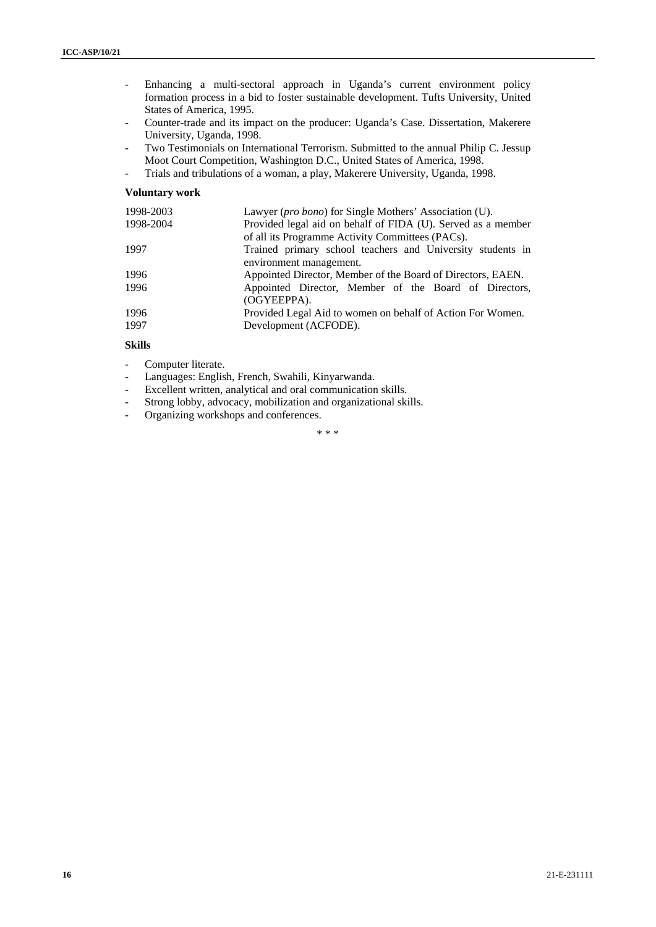- Enhancing a multi-sectoral approach in Uganda's current environment policy formation process in a bid to foster sustainable development. Tufts University, United States of America, 1995.
- Counter-trade and its impact on the producer: Uganda's Case. Dissertation, Makerere University, Uganda, 1998.
- Two Testimonials on International Terrorism. Submitted to the annual Philip C. Jessup Moot Court Competition, Washington D.C., United States of America, 1998.
- Trials and tribulations of a woman, a play, Makerere University, Uganda, 1998.

# **Voluntary work**

| 1998-2003 | Lawyer (pro bono) for Single Mothers' Association (U).       |  |
|-----------|--------------------------------------------------------------|--|
| 1998-2004 | Provided legal aid on behalf of FIDA (U). Served as a member |  |
|           | of all its Programme Activity Committees (PACs).             |  |
| 1997      | Trained primary school teachers and University students in   |  |
|           | environment management.                                      |  |
| 1996      | Appointed Director, Member of the Board of Directors, EAEN.  |  |
| 1996      | Appointed Director, Member of the Board of Directors,        |  |
|           | (OGYEEPPA).                                                  |  |
| 1996      | Provided Legal Aid to women on behalf of Action For Women.   |  |
| 1997      | Development (ACFODE).                                        |  |
|           |                                                              |  |

# **Skills**

- Computer literate.
- Languages: English, French, Swahili, Kinyarwanda.
- Excellent written, analytical and oral communication skills.
- Strong lobby, advocacy, mobilization and organizational skills.
- Organizing workshops and conferences.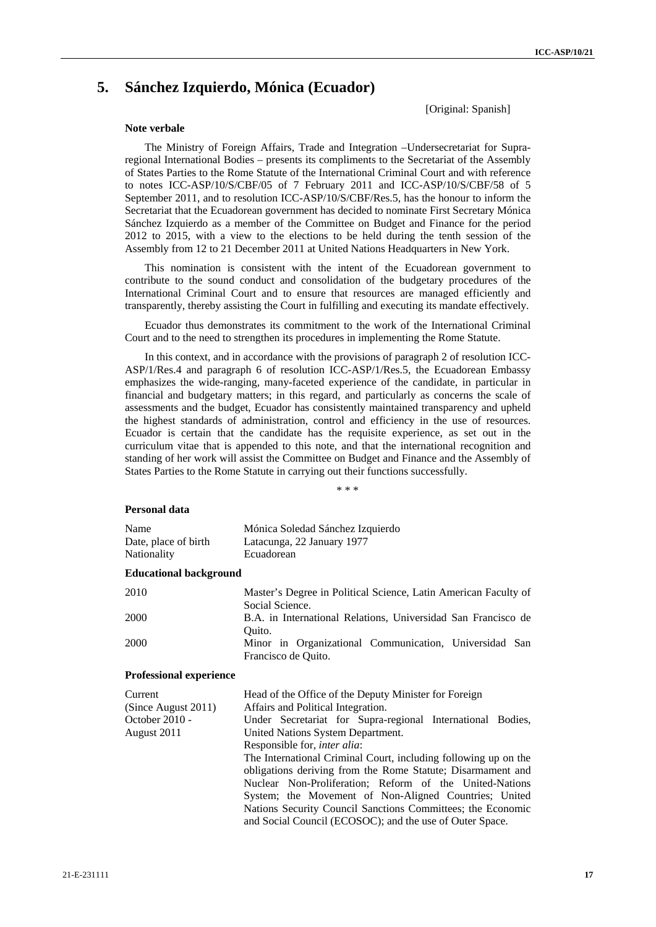# **5. Sánchez Izquierdo, Mónica (Ecuador)**

[Original: Spanish]

### **Note verbale**

The Ministry of Foreign Affairs, Trade and Integration –Undersecretariat for Supraregional International Bodies – presents its compliments to the Secretariat of the Assembly of States Parties to the Rome Statute of the International Criminal Court and with reference to notes ICC-ASP/10/S/CBF/05 of 7 February 2011 and ICC-ASP/10/S/CBF/58 of 5 September 2011, and to resolution ICC-ASP/10/S/CBF/Res.5, has the honour to inform the Secretariat that the Ecuadorean government has decided to nominate First Secretary Mónica Sánchez Izquierdo as a member of the Committee on Budget and Finance for the period 2012 to 2015, with a view to the elections to be held during the tenth session of the Assembly from 12 to 21 December 2011 at United Nations Headquarters in New York.

This nomination is consistent with the intent of the Ecuadorean government to contribute to the sound conduct and consolidation of the budgetary procedures of the International Criminal Court and to ensure that resources are managed efficiently and transparently, thereby assisting the Court in fulfilling and executing its mandate effectively.

Ecuador thus demonstrates its commitment to the work of the International Criminal Court and to the need to strengthen its procedures in implementing the Rome Statute.

In this context, and in accordance with the provisions of paragraph 2 of resolution ICC-ASP/1/Res.4 and paragraph 6 of resolution ICC-ASP/1/Res.5, the Ecuadorean Embassy emphasizes the wide-ranging, many-faceted experience of the candidate, in particular in financial and budgetary matters; in this regard, and particularly as concerns the scale of assessments and the budget, Ecuador has consistently maintained transparency and upheld the highest standards of administration, control and efficiency in the use of resources. Ecuador is certain that the candidate has the requisite experience, as set out in the curriculum vitae that is appended to this note, and that the international recognition and standing of her work will assist the Committee on Budget and Finance and the Assembly of States Parties to the Rome Statute in carrying out their functions successfully.

\* \* \*

#### **Personal data**

| Name                 | Mónica Soledad Sánchez Izquierdo |
|----------------------|----------------------------------|
| Date, place of birth | Latacunga, 22 January 1977       |
| Nationality          | Ecuadorean                       |

#### **Educational background**

| 2010 | Master's Degree in Political Science, Latin American Faculty of |
|------|-----------------------------------------------------------------|
|      | Social Science.                                                 |
| 2000 | B.A. in International Relations, Universidad San Francisco de   |
|      | Ouito.                                                          |
| 2000 | Minor in Organizational Communication, Universidad San          |
|      | Francisco de Quito.                                             |

#### **Professional experience**

| Current<br>(Since August 2011) | Head of the Office of the Deputy Minister for Foreign<br>Affairs and Political Integration.                             |  |  |
|--------------------------------|-------------------------------------------------------------------------------------------------------------------------|--|--|
| October 2010 -                 | Under Secretariat for Supra-regional International Bodies,                                                              |  |  |
| August 2011                    | United Nations System Department.                                                                                       |  |  |
|                                | Responsible for, <i>inter alia</i> :                                                                                    |  |  |
|                                | The International Criminal Court, including following up on the                                                         |  |  |
|                                | obligations deriving from the Rome Statute; Disarmament and                                                             |  |  |
|                                | Nuclear Non-Proliferation; Reform of the United-Nations                                                                 |  |  |
|                                | System; the Movement of Non-Aligned Countries; United                                                                   |  |  |
|                                | Nations Security Council Sanctions Committees; the Economic<br>and Social Council (ECOSOC); and the use of Outer Space. |  |  |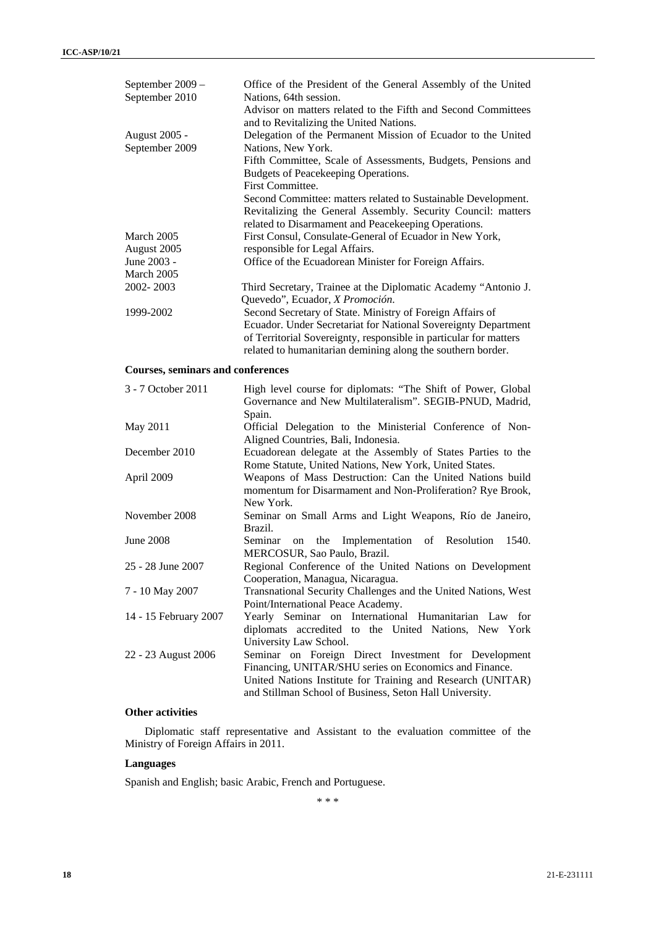| September 2009 -<br>September 2010       | Office of the President of the General Assembly of the United<br>Nations, 64th session.<br>Advisor on matters related to the Fifth and Second Committees                                                                                                        |  |  |
|------------------------------------------|-----------------------------------------------------------------------------------------------------------------------------------------------------------------------------------------------------------------------------------------------------------------|--|--|
| <b>August 2005 -</b><br>September 2009   | and to Revitalizing the United Nations.<br>Delegation of the Permanent Mission of Ecuador to the United<br>Nations, New York.                                                                                                                                   |  |  |
|                                          | Fifth Committee, Scale of Assessments, Budgets, Pensions and<br>Budgets of Peacekeeping Operations.<br>First Committee.                                                                                                                                         |  |  |
|                                          | Second Committee: matters related to Sustainable Development.<br>Revitalizing the General Assembly. Security Council: matters<br>related to Disarmament and Peacekeeping Operations.                                                                            |  |  |
| March 2005                               | First Consul, Consulate-General of Ecuador in New York,                                                                                                                                                                                                         |  |  |
| August 2005                              | responsible for Legal Affairs.                                                                                                                                                                                                                                  |  |  |
| June 2003 -                              | Office of the Ecuadorean Minister for Foreign Affairs.                                                                                                                                                                                                          |  |  |
| March 2005                               |                                                                                                                                                                                                                                                                 |  |  |
| 2002-2003                                | Third Secretary, Trainee at the Diplomatic Academy "Antonio J.<br>Quevedo", Ecuador, X Promoción.                                                                                                                                                               |  |  |
| 1999-2002                                | Second Secretary of State. Ministry of Foreign Affairs of<br>Ecuador. Under Secretariat for National Sovereignty Department<br>of Territorial Sovereignty, responsible in particular for matters<br>related to humanitarian demining along the southern border. |  |  |
| <b>Courses, seminars and conferences</b> |                                                                                                                                                                                                                                                                 |  |  |
| 3 - 7 October 2011                       | High level course for diplomats: "The Shift of Power, Global<br>Governance and New Multilateralism". SEGIB-PNUD, Madrid,<br>Spain.                                                                                                                              |  |  |
| May 2011                                 | Official Delegation to the Ministerial Conference of Non-<br>Aligned Countries, Bali, Indonesia.                                                                                                                                                                |  |  |
| December 2010                            | Ecuadorean delegate at the Assembly of States Parties to the<br>Rome Statute, United Nations, New York, United States.                                                                                                                                          |  |  |
| April 2009                               | Weapons of Mass Destruction: Can the United Nations build<br>momentum for Disarmament and Non-Proliferation? Rye Brook,<br>New York.                                                                                                                            |  |  |
| November 2008                            | Seminar on Small Arms and Light Weapons, Río de Janeiro,<br>Brazil.                                                                                                                                                                                             |  |  |
| <b>June 2008</b>                         | Seminar<br>the Implementation<br>of<br>Resolution<br>1540.<br>on<br>MERCOSUR, Sao Paulo, Brazil.                                                                                                                                                                |  |  |
| 25 - 28 June 2007                        | Regional Conference of the United Nations on Development<br>Cooperation, Managua, Nicaragua.                                                                                                                                                                    |  |  |
| 7 - 10 May 2007                          | Transnational Security Challenges and the United Nations, West<br>Point/International Peace Academy.                                                                                                                                                            |  |  |
| 14 - 15 February 2007                    | Yearly Seminar on International Humanitarian Law for<br>diplomats accredited to the United Nations, New York<br>University Law School.                                                                                                                          |  |  |
| 22 - 23 August 2006                      | Seminar on Foreign Direct Investment for Development<br>Financing, UNITAR/SHU series on Economics and Finance.<br>United Nations Institute for Training and Research (UNITAR)<br>and Stillman School of Business, Seton Hall University.                        |  |  |

# **Other activities**

Diplomatic staff representative and Assistant to the evaluation committee of the Ministry of Foreign Affairs in 2011.

# **Languages**

Spanish and English; basic Arabic, French and Portuguese.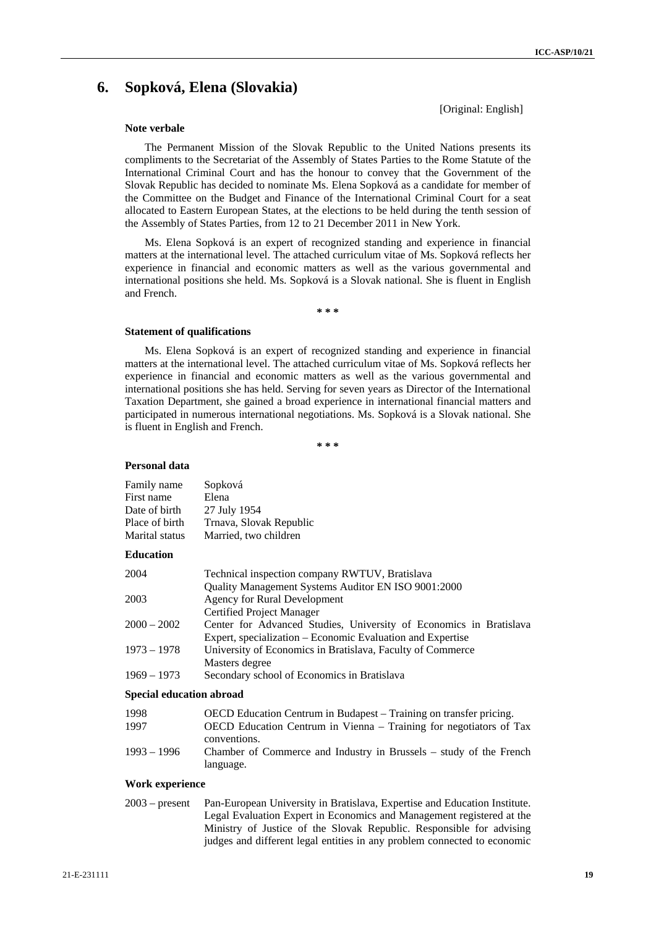# **6. Sopková, Elena (Slovakia)**

[Original: English]

#### **Note verbale**

The Permanent Mission of the Slovak Republic to the United Nations presents its compliments to the Secretariat of the Assembly of States Parties to the Rome Statute of the International Criminal Court and has the honour to convey that the Government of the Slovak Republic has decided to nominate Ms. Elena Sopková as a candidate for member of the Committee on the Budget and Finance of the International Criminal Court for a seat allocated to Eastern European States, at the elections to be held during the tenth session of the Assembly of States Parties, from 12 to 21 December 2011 in New York.

Ms. Elena Sopková is an expert of recognized standing and experience in financial matters at the international level. The attached curriculum vitae of Ms. Sopková reflects her experience in financial and economic matters as well as the various governmental and international positions she held. Ms. Sopková is a Slovak national. She is fluent in English and French.

**\* \* \*** 

#### **Statement of qualifications**

Ms. Elena Sopková is an expert of recognized standing and experience in financial matters at the international level. The attached curriculum vitae of Ms. Sopková reflects her experience in financial and economic matters as well as the various governmental and international positions she has held. Serving for seven years as Director of the International Taxation Department, she gained a broad experience in international financial matters and participated in numerous international negotiations. Ms. Sopková is a Slovak national. She is fluent in English and French.

**\* \* \*** 

#### **Personal data**

| Family name<br>First name<br>Date of birth<br>Place of birth<br>Marital status | Sopková<br>Elena<br>27 July 1954<br>Trnava, Slovak Republic<br>Married, two children                                                                          |
|--------------------------------------------------------------------------------|---------------------------------------------------------------------------------------------------------------------------------------------------------------|
| <b>Education</b>                                                               |                                                                                                                                                               |
| 2004                                                                           | Technical inspection company RWTUV, Bratislava                                                                                                                |
|                                                                                | Quality Management Systems Auditor EN ISO 9001:2000                                                                                                           |
| 2003                                                                           | Agency for Rural Development                                                                                                                                  |
| $2000 - 2002$                                                                  | Certified Project Manager<br>Center for Advanced Studies, University of Economics in Bratislava<br>Expert, specialization – Economic Evaluation and Expertise |
| $1973 - 1978$                                                                  | University of Economics in Bratislava, Faculty of Commerce                                                                                                    |
|                                                                                | Masters degree                                                                                                                                                |
| $1969 - 1973$                                                                  | Secondary school of Economics in Bratislava                                                                                                                   |

#### **Special education abroad**

| 1998          | OECD Education Centrum in Budapest – Training on transfer pricing.                 |  |
|---------------|------------------------------------------------------------------------------------|--|
| 1997          | OECD Education Centrum in Vienna – Training for negotiators of Tax                 |  |
| $1993 - 1996$ | conventions.<br>Chamber of Commerce and Industry in Brussels – study of the French |  |
|               |                                                                                    |  |
|               | language.                                                                          |  |

#### **Work experience**

2003 – present Pan-European University in Bratislava, Expertise and Education Institute. Legal Evaluation Expert in Economics and Management registered at the Ministry of Justice of the Slovak Republic. Responsible for advising judges and different legal entities in any problem connected to economic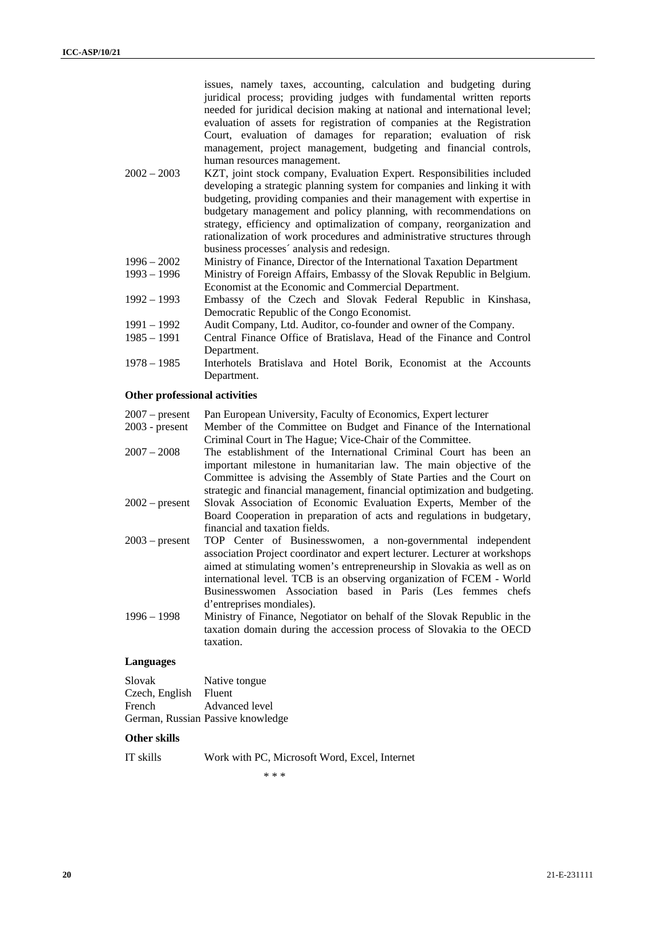issues, namely taxes, accounting, calculation and budgeting during juridical process; providing judges with fundamental written reports needed for juridical decision making at national and international level; evaluation of assets for registration of companies at the Registration Court, evaluation of damages for reparation; evaluation of risk management, project management, budgeting and financial controls, human resources management.

- 2002 2003 KZT, joint stock company, Evaluation Expert. Responsibilities included developing a strategic planning system for companies and linking it with budgeting, providing companies and their management with expertise in budgetary management and policy planning, with recommendations on strategy, efficiency and optimalization of company, reorganization and rationalization of work procedures and administrative structures through business processes´ analysis and redesign.
- 1996 2002 Ministry of Finance, Director of the International Taxation Department
- 1993 1996 Ministry of Foreign Affairs, Embassy of the Slovak Republic in Belgium. Economist at the Economic and Commercial Department.
- 1992 1993 Embassy of the Czech and Slovak Federal Republic in Kinshasa, Democratic Republic of the Congo Economist.
- 1991 1992 Audit Company, Ltd. Auditor, co-founder and owner of the Company.
- 1985 1991 Central Finance Office of Bratislava, Head of the Finance and Control Department.
- 1978 1985 Interhotels Bratislava and Hotel Borik, Economist at the Accounts Department.

#### **Other professional activities**

| $2007 - present$ | Pan European University, Faculty of Economics, Expert lecturer             |
|------------------|----------------------------------------------------------------------------|
| $2003$ - present | Member of the Committee on Budget and Finance of the International         |
|                  | Criminal Court in The Hague; Vice-Chair of the Committee.                  |
| $2007 - 2008$    | The establishment of the International Criminal Court has been an          |
|                  | important milestone in humanitarian law. The main objective of the         |
|                  | Committee is advising the Assembly of State Parties and the Court on       |
|                  | strategic and financial management, financial optimization and budgeting.  |
| $2002$ – present | Slovak Association of Economic Evaluation Experts, Member of the           |
|                  | Board Cooperation in preparation of acts and regulations in budgetary,     |
|                  | financial and taxation fields.                                             |
| $2003$ – present | TOP Center of Businesswomen, a non-governmental independent                |
|                  | association Project coordinator and expert lecturer. Lecturer at workshops |
|                  | aimed at stimulating women's entrepreneurship in Slovakia as well as on    |
|                  | international level. TCB is an observing organization of FCEM - World      |
|                  | Businesswomen Association based in Paris (Les femmes chefs                 |
|                  | d'entreprises mondiales).                                                  |
| $1996 - 1998$    | Ministry of Finance, Negotiator on behalf of the Slovak Republic in the    |
|                  | taxation domain during the accession process of Slovakia to the OECD       |
|                  | taxation.                                                                  |
|                  |                                                                            |

# **Languages**

| Slovak         | Native tongue                     |
|----------------|-----------------------------------|
| Czech, English | Fluent                            |
| French         | Advanced level                    |
|                | German, Russian Passive knowledge |

## **Other skills**

IT skills Work with PC, Microsoft Word, Excel, Internet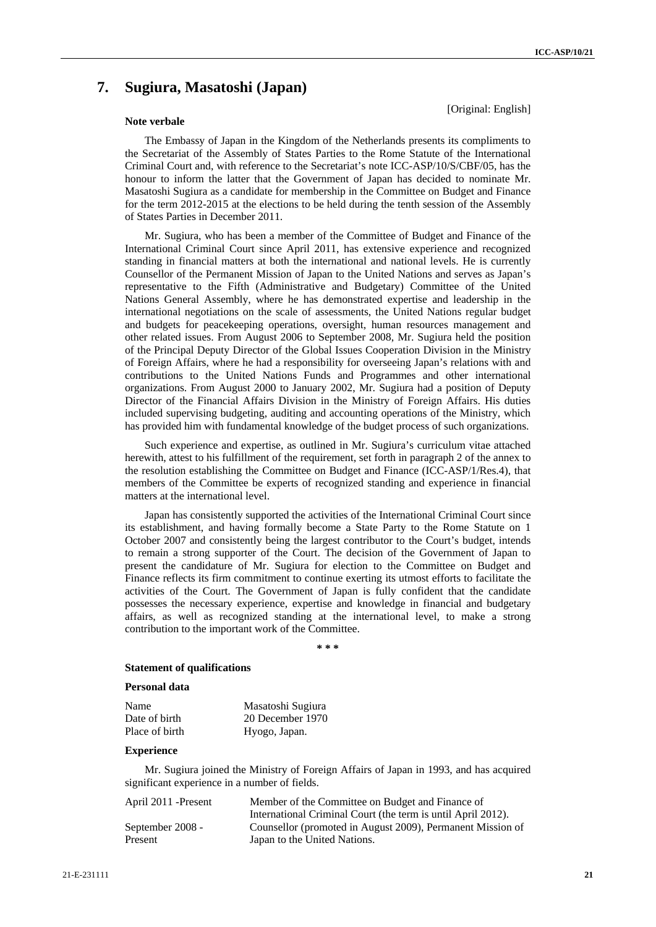# **7. Sugiura, Masatoshi (Japan)**

### **Note verbale**

[Original: English]

The Embassy of Japan in the Kingdom of the Netherlands presents its compliments to the Secretariat of the Assembly of States Parties to the Rome Statute of the International Criminal Court and, with reference to the Secretariat's note ICC-ASP/10/S/CBF/05, has the honour to inform the latter that the Government of Japan has decided to nominate Mr. Masatoshi Sugiura as a candidate for membership in the Committee on Budget and Finance for the term 2012-2015 at the elections to be held during the tenth session of the Assembly of States Parties in December 2011.

Mr. Sugiura, who has been a member of the Committee of Budget and Finance of the International Criminal Court since April 2011, has extensive experience and recognized standing in financial matters at both the international and national levels. He is currently Counsellor of the Permanent Mission of Japan to the United Nations and serves as Japan's representative to the Fifth (Administrative and Budgetary) Committee of the United Nations General Assembly, where he has demonstrated expertise and leadership in the international negotiations on the scale of assessments, the United Nations regular budget and budgets for peacekeeping operations, oversight, human resources management and other related issues. From August 2006 to September 2008, Mr. Sugiura held the position of the Principal Deputy Director of the Global Issues Cooperation Division in the Ministry of Foreign Affairs, where he had a responsibility for overseeing Japan's relations with and contributions to the United Nations Funds and Programmes and other international organizations. From August 2000 to January 2002, Mr. Sugiura had a position of Deputy Director of the Financial Affairs Division in the Ministry of Foreign Affairs. His duties included supervising budgeting, auditing and accounting operations of the Ministry, which has provided him with fundamental knowledge of the budget process of such organizations.

Such experience and expertise, as outlined in Mr. Sugiura's curriculum vitae attached herewith, attest to his fulfillment of the requirement, set forth in paragraph 2 of the annex to the resolution establishing the Committee on Budget and Finance (ICC-ASP/1/Res.4), that members of the Committee be experts of recognized standing and experience in financial matters at the international level.

Japan has consistently supported the activities of the International Criminal Court since its establishment, and having formally become a State Party to the Rome Statute on 1 October 2007 and consistently being the largest contributor to the Court's budget, intends to remain a strong supporter of the Court. The decision of the Government of Japan to present the candidature of Mr. Sugiura for election to the Committee on Budget and Finance reflects its firm commitment to continue exerting its utmost efforts to facilitate the activities of the Court. The Government of Japan is fully confident that the candidate possesses the necessary experience, expertise and knowledge in financial and budgetary affairs, as well as recognized standing at the international level, to make a strong contribution to the important work of the Committee.

**\* \* \*** 

# **Statement of qualifications**

#### **Personal data**

| Name           | Masatoshi Sugiura |
|----------------|-------------------|
| Date of birth  | 20 December 1970  |
| Place of birth | Hyogo, Japan.     |

#### **Experience**

Mr. Sugiura joined the Ministry of Foreign Affairs of Japan in 1993, and has acquired significant experience in a number of fields.

| April 2011 - Present | Member of the Committee on Budget and Finance of             |
|----------------------|--------------------------------------------------------------|
|                      | International Criminal Court (the term is until April 2012). |
| September 2008 -     | Counsellor (promoted in August 2009), Permanent Mission of   |
| Present              | Japan to the United Nations.                                 |